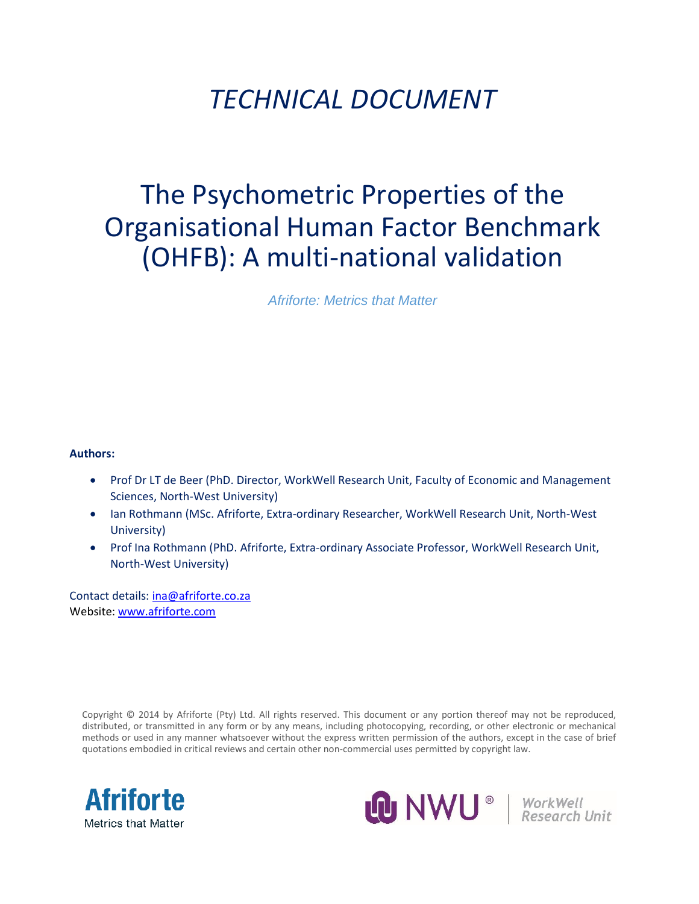# *TECHNICAL DOCUMENT*

# The Psychometric Properties of the Organisational Human Factor Benchmark (OHFB): A multi-national validation

*Afriforte: Metrics that Matter*

#### **Authors:**

- Prof Dr LT de Beer (PhD. Director, WorkWell Research Unit, Faculty of Economic and Management Sciences, North-West University)
- Ian Rothmann (MSc. Afriforte, Extra-ordinary Researcher, WorkWell Research Unit, North-West University)
- Prof Ina Rothmann (PhD. Afriforte, Extra-ordinary Associate Professor, WorkWell Research Unit, North-West University)

Contact details: [ina@afriforte.co.za](mailto:ina@afriforte.co.za) Website[: www.afriforte.com](http://www.afriforte.com/)

Copyright © 2014 by Afriforte (Pty) Ltd. All rights reserved. This document or any portion thereof may not be reproduced, distributed, or transmitted in any form or by any means, including photocopying, recording, or other electronic or mechanical methods or used in any manner whatsoever without the express written permission of the authors, except in the case of brief quotations embodied in critical reviews and certain other non-commercial uses permitted by copyright law.



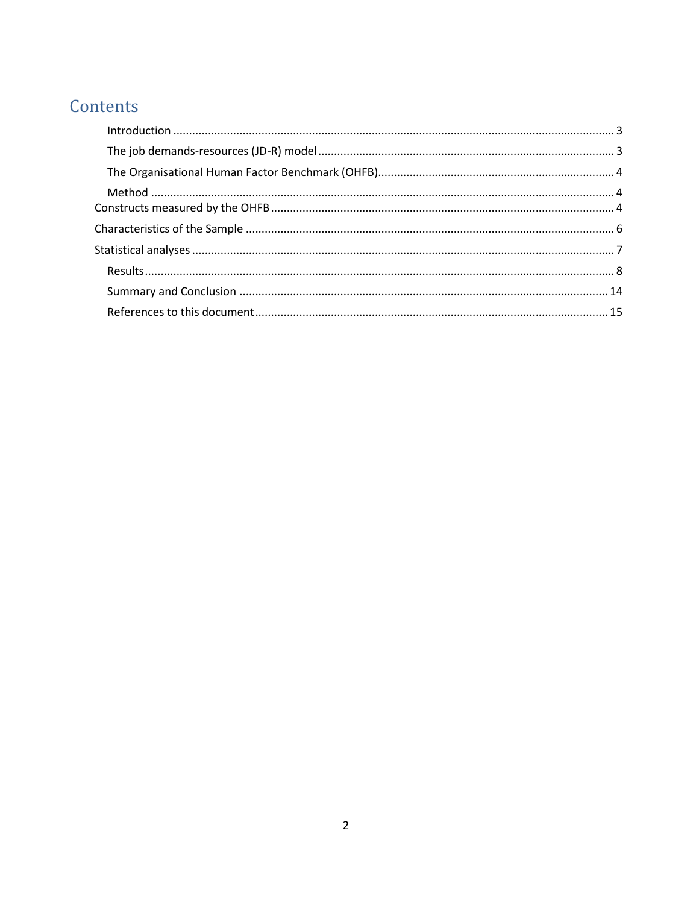# Contents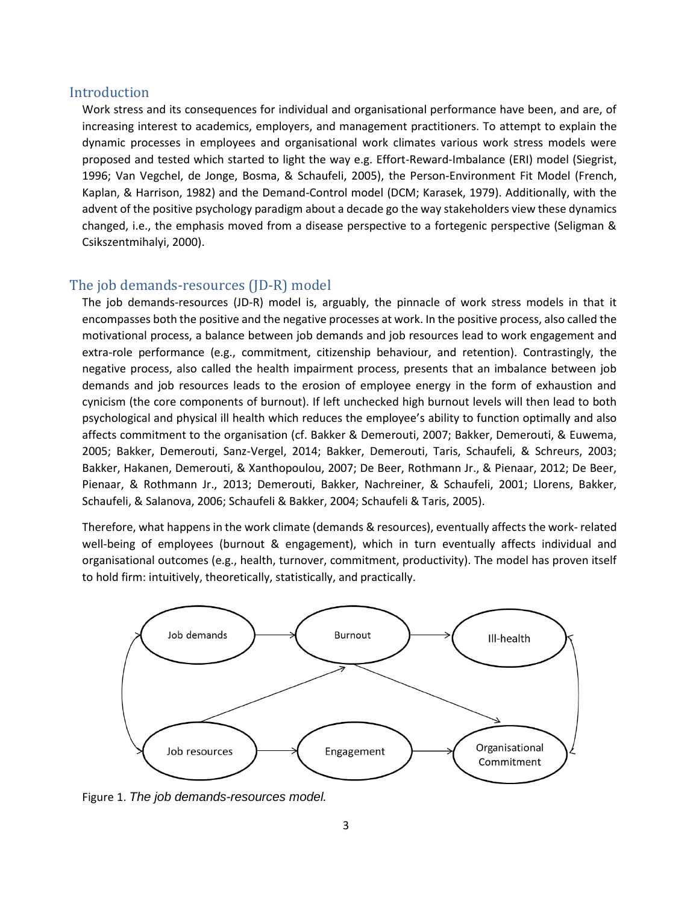#### <span id="page-2-0"></span>Introduction

Work stress and its consequences for individual and organisational performance have been, and are, of increasing interest to academics, employers, and management practitioners. To attempt to explain the dynamic processes in employees and organisational work climates various work stress models were proposed and tested which started to light the way e.g. Effort-Reward-Imbalance (ERI) model (Siegrist, 1996; Van Vegchel, de Jonge, Bosma, & Schaufeli, 2005), the Person-Environment Fit Model (French, Kaplan, & Harrison, 1982) and the Demand-Control model (DCM; Karasek, 1979). Additionally, with the advent of the positive psychology paradigm about a decade go the way stakeholders view these dynamics changed, i.e., the emphasis moved from a disease perspective to a fortegenic perspective (Seligman & Csikszentmihalyi, 2000).

### <span id="page-2-1"></span>The job demands-resources (JD-R) model

The job demands-resources (JD-R) model is, arguably, the pinnacle of work stress models in that it encompasses both the positive and the negative processes at work. In the positive process, also called the motivational process, a balance between job demands and job resources lead to work engagement and extra-role performance (e.g., commitment, citizenship behaviour, and retention). Contrastingly, the negative process, also called the health impairment process, presents that an imbalance between job demands and job resources leads to the erosion of employee energy in the form of exhaustion and cynicism (the core components of burnout). If left unchecked high burnout levels will then lead to both psychological and physical ill health which reduces the employee's ability to function optimally and also affects commitment to the organisation (cf. Bakker & Demerouti, 2007; Bakker, Demerouti, & Euwema, 2005; Bakker, Demerouti, Sanz-Vergel, 2014; Bakker, Demerouti, Taris, Schaufeli, & Schreurs, 2003; Bakker, Hakanen, Demerouti, & Xanthopoulou, 2007; De Beer, Rothmann Jr., & Pienaar, 2012; De Beer, Pienaar, & Rothmann Jr., 2013; Demerouti, Bakker, Nachreiner, & Schaufeli, 2001; Llorens, Bakker, Schaufeli, & Salanova, 2006; Schaufeli & Bakker, 2004; Schaufeli & Taris, 2005).

Therefore, what happens in the work climate (demands & resources), eventually affects the work- related well-being of employees (burnout & engagement), which in turn eventually affects individual and organisational outcomes (e.g., health, turnover, commitment, productivity). The model has proven itself to hold firm: intuitively, theoretically, statistically, and practically.



Figure 1. *The job demands-resources model.*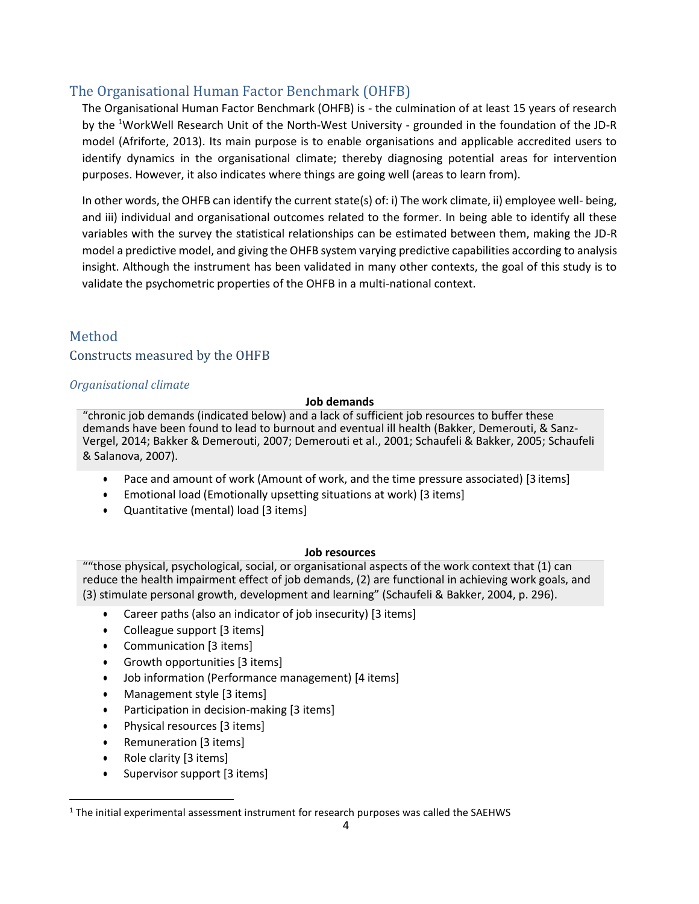# <span id="page-3-0"></span>The Organisational Human Factor Benchmark (OHFB)

The Organisational Human Factor Benchmark (OHFB) is - the culmination of at least 15 years of research by the <sup>1</sup>WorkWell Research Unit of the North-West University - grounded in the foundation of the JD-R model (Afriforte, 2013). Its main purpose is to enable organisations and applicable accredited users to identify dynamics in the organisational climate; thereby diagnosing potential areas for intervention purposes. However, it also indicates where things are going well (areas to learn from).

In other words, the OHFB can identify the current state(s) of: i) The work climate, ii) employee well- being, and iii) individual and organisational outcomes related to the former. In being able to identify all these variables with the survey the statistical relationships can be estimated between them, making the JD-R model a predictive model, and giving the OHFB system varying predictive capabilities according to analysis insight. Although the instrument has been validated in many other contexts, the goal of this study is to validate the psychometric properties of the OHFB in a multi-national context.

# <span id="page-3-1"></span>Method

<span id="page-3-2"></span>Constructs measured by the OHFB

#### *Organisational climate*

#### **Job demands**

"chronic job demands (indicated below) and a lack of sufficient job resources to buffer these demands have been found to lead to burnout and eventual ill health (Bakker, Demerouti, & Sanz-Vergel, 2014; Bakker & Demerouti, 2007; Demerouti et al., 2001; Schaufeli & Bakker, 2005; Schaufeli & Salanova, 2007).

- Pace and amount of work (Amount of work, and the time pressure associated) [3 items]
- Emotional load (Emotionally upsetting situations at work) [3 items]
- Quantitative (mental) load [3 items]

#### **Job resources**

""those physical, psychological, social, or organisational aspects of the work context that (1) can reduce the health impairment effect of job demands, (2) are functional in achieving work goals, and (3) stimulate personal growth, development and learning" (Schaufeli & Bakker, 2004, p. 296).

- Career paths (also an indicator of job insecurity) [3 items]
- Colleague support [3 items]
- Communication [3 items]
- Growth opportunities [3 items]
- Job information (Performance management) [4 items]
- Management style [3 items]
- Participation in decision-making [3 items]
- Physical resources [3 items]
- Remuneration [3 items]
- Role clarity [3 items]
- Supervisor support [3 items]

 $<sup>1</sup>$  The initial experimental assessment instrument for research purposes was called the SAEHWS</sup>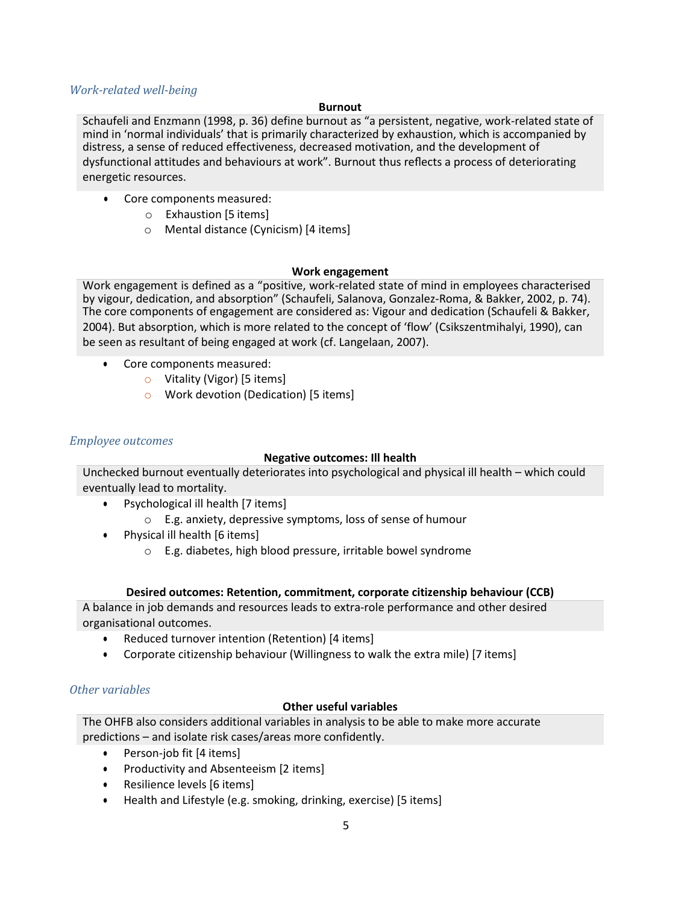#### *Work-related well-being*

#### **Burnout**

Schaufeli and Enzmann (1998, p. 36) define burnout as "a persistent, negative, work-related state of mind in 'normal individuals' that is primarily characterized by exhaustion, which is accompanied by distress, a sense of reduced effectiveness, decreased motivation, and the development of dysfunctional attitudes and behaviours at work". Burnout thus reflects a process of deteriorating energetic resources.

- Core components measured:
	- o Exhaustion [5 items]
	- o Mental distance (Cynicism) [4 items]

#### **Work engagement**

Work engagement is defined as a "positive, work-related state of mind in employees characterised by vigour, dedication, and absorption" (Schaufeli, Salanova, Gonzalez-Roma, & Bakker, 2002, p. 74). The core components of engagement are considered as: Vigour and dedication (Schaufeli & Bakker, 2004). But absorption, which is more related to the concept of 'flow' (Csikszentmihalyi, 1990), can be seen as resultant of being engaged at work (cf. Langelaan, 2007).

- Core components measured:
	- o Vitality (Vigor) [5 items]
	- o Work devotion (Dedication) [5 items]

#### *Employee outcomes*

#### **Negative outcomes: Ill health**

Unchecked burnout eventually deteriorates into psychological and physical ill health – which could eventually lead to mortality.

- Psychological ill health [7 items]
	- o E.g. anxiety, depressive symptoms, loss of sense of humour
- Physical ill health [6 items]
	- o E.g. diabetes, high blood pressure, irritable bowel syndrome

#### **Desired outcomes: Retention, commitment, corporate citizenship behaviour (CCB)**

A balance in job demands and resources leads to extra-role performance and other desired organisational outcomes.

- Reduced turnover intention (Retention) [4 items]
- Corporate citizenship behaviour (Willingness to walk the extra mile) [7 items]

#### *Other variables*

#### **Other useful variables**

The OHFB also considers additional variables in analysis to be able to make more accurate predictions – and isolate risk cases/areas more confidently.

- Person-job fit [4 items]
- Productivity and Absenteeism [2 items]
- Resilience levels [6 items]
- Health and Lifestyle (e.g. smoking, drinking, exercise) [5 items]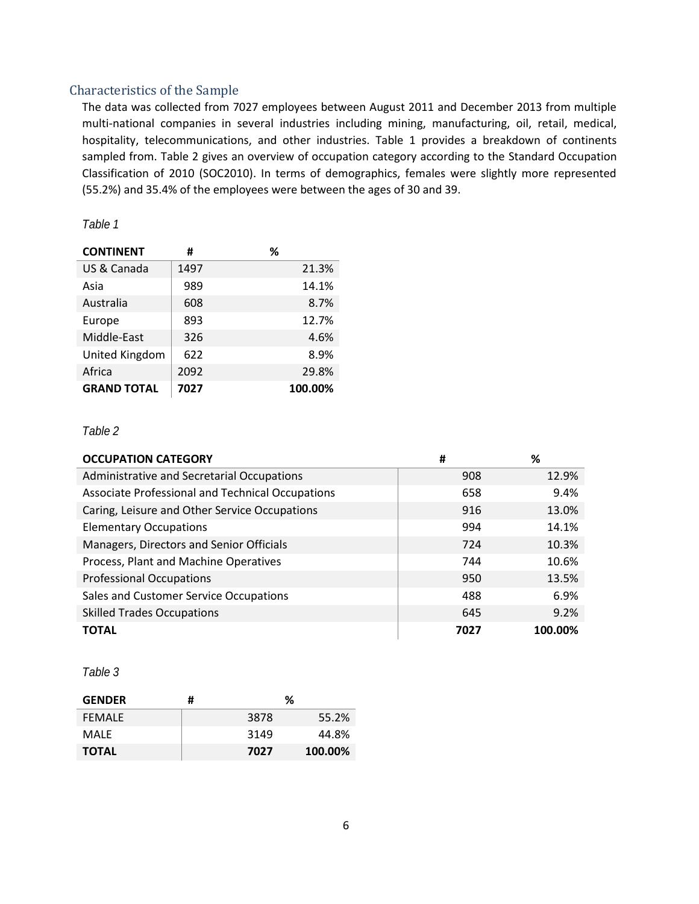### <span id="page-5-0"></span>Characteristics of the Sample

The data was collected from 7027 employees between August 2011 and December 2013 from multiple multi-national companies in several industries including mining, manufacturing, oil, retail, medical, hospitality, telecommunications, and other industries. [Table 1](#page-5-1) provides a breakdown of continents sampled from. [Table 2 g](#page-5-2)ives an overview of occupation category according to the Standard Occupation Classification of 2010 (SOC2010). In terms of demographics, females were slightly more represented (55.2%) and 35.4% of the employees were between the ages of 30 and 39.

#### <span id="page-5-1"></span>*Table 1*

| <b>CONTINENT</b>   | #    | %       |
|--------------------|------|---------|
| US & Canada        | 1497 | 21.3%   |
| Asia               | 989  | 14.1%   |
| Australia          | 608  | 8.7%    |
| Europe             | 893  | 12.7%   |
| Middle-East        | 326  | 4.6%    |
| United Kingdom     | 622  | 8.9%    |
| Africa             | 2092 | 29.8%   |
| <b>GRAND TOTAL</b> | 7027 | 100.00% |

#### <span id="page-5-2"></span>*Table 2*

| <b>OCCUPATION CATEGORY</b>                       | #    | ℅       |
|--------------------------------------------------|------|---------|
| Administrative and Secretarial Occupations       | 908  | 12.9%   |
| Associate Professional and Technical Occupations | 658  | 9.4%    |
| Caring, Leisure and Other Service Occupations    | 916  | 13.0%   |
| <b>Elementary Occupations</b>                    | 994  | 14.1%   |
| Managers, Directors and Senior Officials         | 724  | 10.3%   |
| Process, Plant and Machine Operatives            | 744  | 10.6%   |
| <b>Professional Occupations</b>                  | 950  | 13.5%   |
| Sales and Customer Service Occupations           | 488  | 6.9%    |
| <b>Skilled Trades Occupations</b>                | 645  | 9.2%    |
| <b>TOTAL</b>                                     | 7027 | 100.00% |

#### *Table 3*

| <b>GENDER</b> | # | %    |         |
|---------------|---|------|---------|
| <b>FEMALE</b> |   | 3878 | 55.2%   |
| MALF          |   | 3149 | 44.8%   |
| <b>TOTAL</b>  |   | 7027 | 100.00% |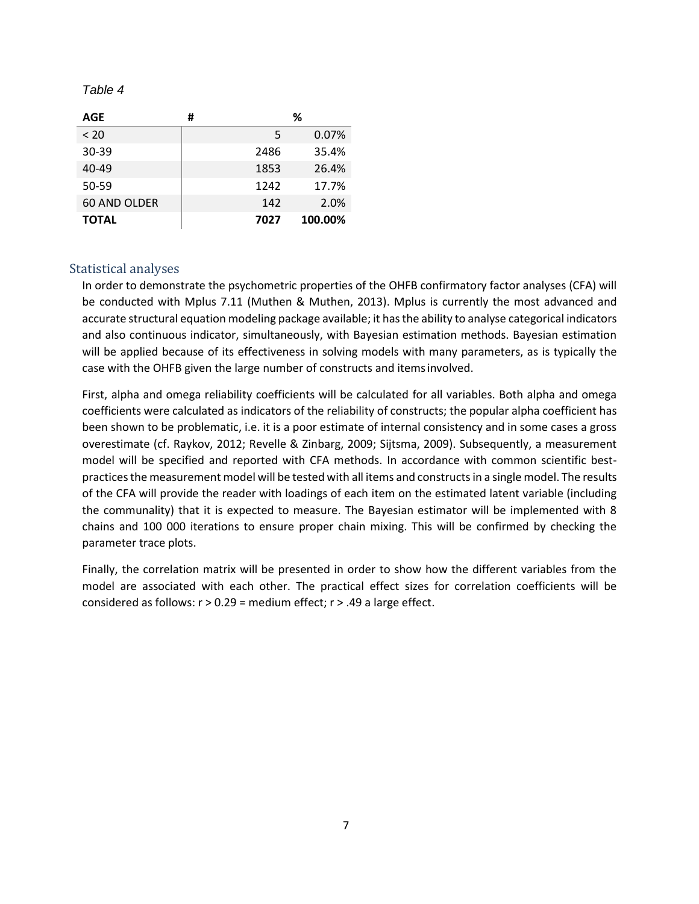#### *Table 4*

| AGE          | # | ℅    |         |  |  |  |
|--------------|---|------|---------|--|--|--|
| < 20         |   | 5    | 0.07%   |  |  |  |
| 30-39        |   | 2486 | 35.4%   |  |  |  |
| 40-49        |   | 1853 | 26.4%   |  |  |  |
| 50-59        |   | 1242 | 17.7%   |  |  |  |
| 60 AND OLDER |   | 142  | 2.0%    |  |  |  |
| <b>TOTAL</b> |   | 7027 | 100.00% |  |  |  |

#### <span id="page-6-0"></span>Statistical analyses

In order to demonstrate the psychometric properties of the OHFB confirmatory factor analyses (CFA) will be conducted with Mplus 7.11 (Muthen & Muthen, 2013). Mplus is currently the most advanced and accurate structural equation modeling package available; it has the ability to analyse categorical indicators and also continuous indicator, simultaneously, with Bayesian estimation methods. Bayesian estimation will be applied because of its effectiveness in solving models with many parameters, as is typically the case with the OHFB given the large number of constructs and itemsinvolved.

First, alpha and omega reliability coefficients will be calculated for all variables. Both alpha and omega coefficients were calculated as indicators of the reliability of constructs; the popular alpha coefficient has been shown to be problematic, i.e. it is a poor estimate of internal consistency and in some cases a gross overestimate (cf. Raykov, 2012; Revelle & Zinbarg, 2009; Sijtsma, 2009). Subsequently, a measurement model will be specified and reported with CFA methods. In accordance with common scientific bestpractices the measurement model will be tested with all items and constructs in a single model. The results of the CFA will provide the reader with loadings of each item on the estimated latent variable (including the communality) that it is expected to measure. The Bayesian estimator will be implemented with 8 chains and 100 000 iterations to ensure proper chain mixing. This will be confirmed by checking the parameter trace plots.

Finally, the correlation matrix will be presented in order to show how the different variables from the model are associated with each other. The practical effect sizes for correlation coefficients will be considered as follows: r > 0.29 = medium effect; r > .49 a large effect.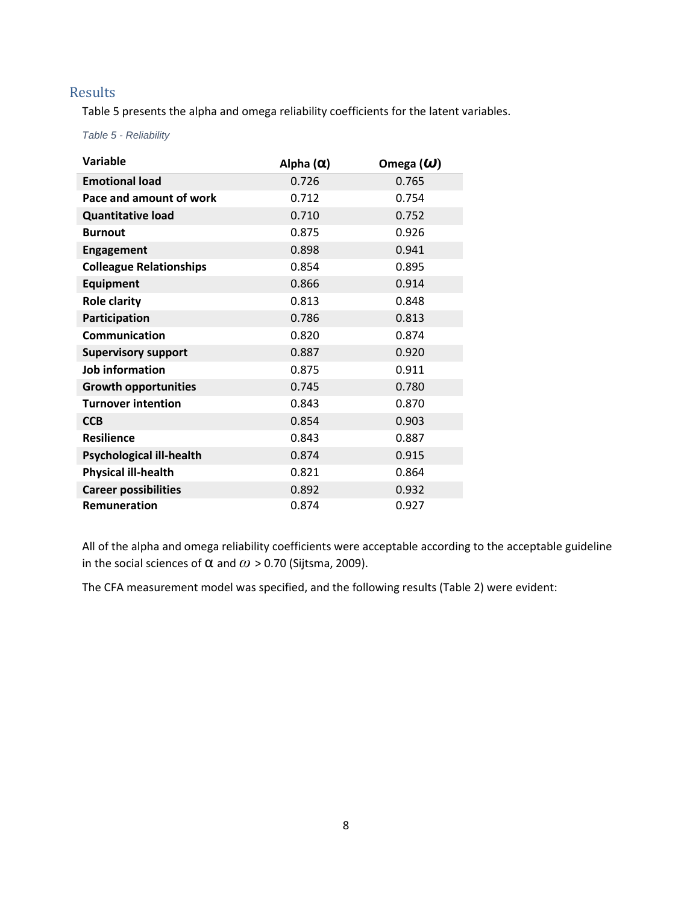# <span id="page-7-0"></span>Results

Table 5 presents the alpha and omega reliability coefficients for the latent variables.

*Table 5 - Reliability*

| <b>Variable</b>                 | Alpha $(\alpha)$ | Omega $(\omega)$ |
|---------------------------------|------------------|------------------|
| <b>Emotional load</b>           | 0.726            | 0.765            |
| Pace and amount of work         | 0.712            | 0.754            |
| <b>Quantitative load</b>        | 0.710            | 0.752            |
| <b>Burnout</b>                  | 0.875            | 0.926            |
| <b>Engagement</b>               | 0.898            | 0.941            |
| <b>Colleague Relationships</b>  | 0.854            | 0.895            |
| <b>Equipment</b>                | 0.866            | 0.914            |
| <b>Role clarity</b>             | 0.813            | 0.848            |
| Participation                   | 0.786            | 0.813            |
| Communication                   | 0.820            | 0.874            |
| <b>Supervisory support</b>      | 0.887            | 0.920            |
| <b>Job information</b>          | 0.875            | 0.911            |
| <b>Growth opportunities</b>     | 0.745            | 0.780            |
| <b>Turnover intention</b>       | 0.843            | 0.870            |
| <b>CCB</b>                      | 0.854            | 0.903            |
| <b>Resilience</b>               | 0.843            | 0.887            |
| <b>Psychological ill-health</b> | 0.874            | 0.915            |
| <b>Physical ill-health</b>      | 0.821            | 0.864            |
| <b>Career possibilities</b>     | 0.892            | 0.932            |
| <b>Remuneration</b>             | 0.874            | 0.927            |

All of the alpha and omega reliability coefficients were acceptable according to the acceptable guideline in the social sciences of  $\alpha$  and  $\omega$  > 0.70 (Sijtsma, 2009).

The CFA measurement model was specified, and the following results (Table 2) were evident: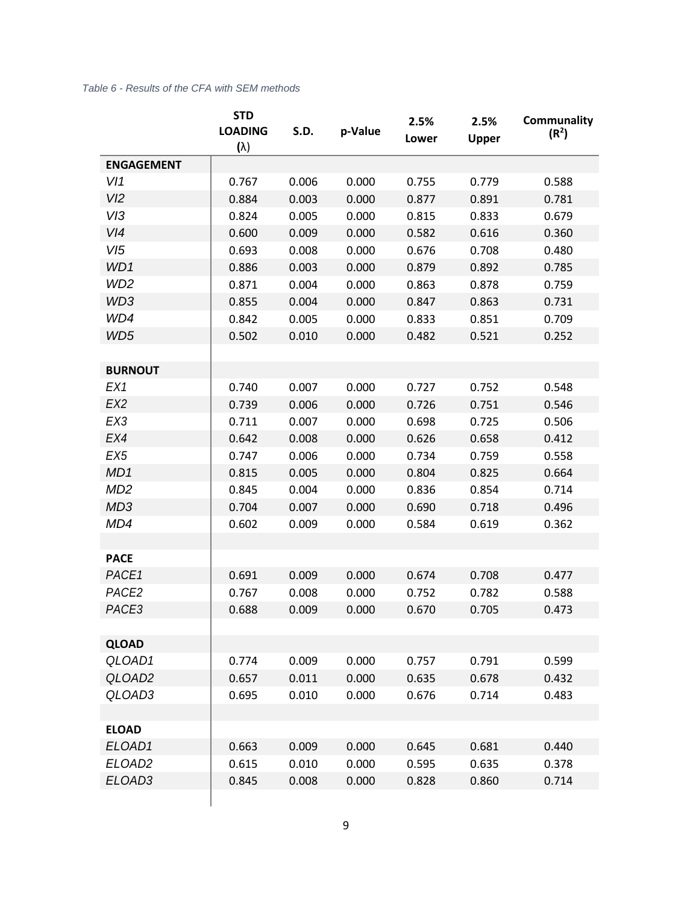#### *Table 6 - Results of the CFA with SEM methods*

|                    | <b>STD</b>     |       |         | 2.5%  | 2.5%         | Communality       |  |  |  |
|--------------------|----------------|-------|---------|-------|--------------|-------------------|--|--|--|
|                    | <b>LOADING</b> | S.D.  | p-Value | Lower | <b>Upper</b> | (R <sup>2</sup> ) |  |  |  |
|                    | $(\lambda)$    |       |         |       |              |                   |  |  |  |
| <b>ENGAGEMENT</b>  |                |       |         |       |              |                   |  |  |  |
| V11                | 0.767          | 0.006 | 0.000   | 0.755 | 0.779        | 0.588             |  |  |  |
| VI2                | 0.884          | 0.003 | 0.000   | 0.877 | 0.891        | 0.781             |  |  |  |
| V13                | 0.824          | 0.005 | 0.000   | 0.815 | 0.833        | 0.679             |  |  |  |
| V/4                | 0.600          | 0.009 | 0.000   | 0.582 | 0.616        | 0.360             |  |  |  |
| VI5                | 0.693          | 0.008 | 0.000   | 0.676 | 0.708        | 0.480             |  |  |  |
| WD1                | 0.886          | 0.003 | 0.000   | 0.879 | 0.892        | 0.785             |  |  |  |
| WD <sub>2</sub>    | 0.871          | 0.004 | 0.000   | 0.863 | 0.878        | 0.759             |  |  |  |
| WD3                | 0.855          | 0.004 | 0.000   | 0.847 | 0.863        | 0.731             |  |  |  |
| WD4                | 0.842          | 0.005 | 0.000   | 0.833 | 0.851        | 0.709             |  |  |  |
| WD5                | 0.502          | 0.010 | 0.000   | 0.482 | 0.521        | 0.252             |  |  |  |
|                    |                |       |         |       |              |                   |  |  |  |
| <b>BURNOUT</b>     |                |       |         |       |              |                   |  |  |  |
| EX1                | 0.740          | 0.007 | 0.000   | 0.727 | 0.752        | 0.548             |  |  |  |
| EX <sub>2</sub>    | 0.739          | 0.006 | 0.000   | 0.726 | 0.751        | 0.546             |  |  |  |
| EX3                | 0.711          | 0.007 | 0.000   | 0.698 | 0.725        | 0.506             |  |  |  |
| EX4                | 0.642          | 0.008 | 0.000   | 0.626 | 0.658        | 0.412             |  |  |  |
| EX <sub>5</sub>    | 0.747          | 0.006 | 0.000   | 0.734 | 0.759        | 0.558             |  |  |  |
| MD1                | 0.815          | 0.005 | 0.000   | 0.804 | 0.825        | 0.664             |  |  |  |
| MD <sub>2</sub>    | 0.845          | 0.004 | 0.000   | 0.836 | 0.854        | 0.714             |  |  |  |
| MD <sub>3</sub>    | 0.704          | 0.007 | 0.000   | 0.690 | 0.718        | 0.496             |  |  |  |
| MD4                | 0.602          | 0.009 | 0.000   | 0.584 | 0.619        | 0.362             |  |  |  |
|                    |                |       |         |       |              |                   |  |  |  |
| <b>PACE</b>        |                |       |         |       |              |                   |  |  |  |
| PACE1              | 0.691          | 0.009 | 0.000   | 0.674 | 0.708        | 0.477             |  |  |  |
| PACE <sub>2</sub>  | 0.767          | 0.008 | 0.000   | 0.752 | 0.782        | 0.588             |  |  |  |
| PACE3              | 0.688          | 0.009 | 0.000   | 0.670 | 0.705        | 0.473             |  |  |  |
|                    |                |       |         |       |              |                   |  |  |  |
| <b>QLOAD</b>       |                |       |         |       |              |                   |  |  |  |
| QLOAD1             | 0.774          | 0.009 | 0.000   | 0.757 | 0.791        | 0.599             |  |  |  |
| QLOAD <sub>2</sub> | 0.657          | 0.011 | 0.000   | 0.635 | 0.678        | 0.432             |  |  |  |
| QLOAD3             | 0.695          | 0.010 | 0.000   | 0.676 | 0.714        | 0.483             |  |  |  |
|                    |                |       |         |       |              |                   |  |  |  |
| <b>ELOAD</b>       |                |       |         |       |              |                   |  |  |  |
| ELOAD1             | 0.663          | 0.009 | 0.000   | 0.645 | 0.681        | 0.440             |  |  |  |
| ELOAD <sub>2</sub> | 0.615          | 0.010 | 0.000   | 0.595 | 0.635        | 0.378             |  |  |  |
| ELOAD3             | 0.845          | 0.008 | 0.000   | 0.828 | 0.860        | 0.714             |  |  |  |
|                    |                |       |         |       |              |                   |  |  |  |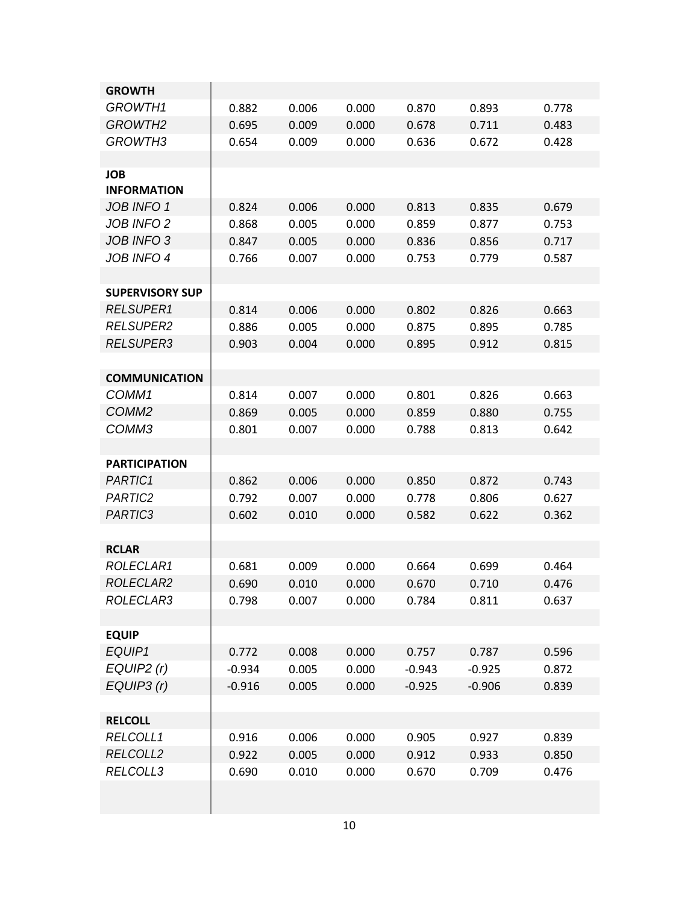| <b>GROWTH</b>                    |          |       |       |          |          |       |
|----------------------------------|----------|-------|-------|----------|----------|-------|
| GROWTH1                          | 0.882    | 0.006 | 0.000 | 0.870    | 0.893    | 0.778 |
| GROWTH <sub>2</sub>              | 0.695    | 0.009 | 0.000 | 0.678    | 0.711    | 0.483 |
| GROWTH <sub>3</sub>              | 0.654    | 0.009 | 0.000 | 0.636    | 0.672    | 0.428 |
|                                  |          |       |       |          |          |       |
| <b>JOB</b><br><b>INFORMATION</b> |          |       |       |          |          |       |
| JOB INFO 1                       | 0.824    | 0.006 | 0.000 | 0.813    | 0.835    | 0.679 |
| <b>JOB INFO 2</b>                | 0.868    | 0.005 | 0.000 | 0.859    | 0.877    | 0.753 |
| JOB INFO 3                       | 0.847    | 0.005 | 0.000 | 0.836    | 0.856    | 0.717 |
| <b>JOB INFO 4</b>                | 0.766    | 0.007 | 0.000 | 0.753    | 0.779    | 0.587 |
|                                  |          |       |       |          |          |       |
| <b>SUPERVISORY SUP</b>           |          |       |       |          |          |       |
| <b>RELSUPER1</b>                 | 0.814    | 0.006 | 0.000 | 0.802    | 0.826    | 0.663 |
| <b>RELSUPER2</b>                 | 0.886    | 0.005 | 0.000 | 0.875    | 0.895    | 0.785 |
| <b>RELSUPER3</b>                 | 0.903    | 0.004 | 0.000 | 0.895    | 0.912    | 0.815 |
|                                  |          |       |       |          |          |       |
| <b>COMMUNICATION</b>             |          |       |       |          |          |       |
| COMM1                            | 0.814    | 0.007 | 0.000 | 0.801    | 0.826    | 0.663 |
| COMM <sub>2</sub>                | 0.869    | 0.005 | 0.000 | 0.859    | 0.880    | 0.755 |
| COMM3                            | 0.801    | 0.007 | 0.000 | 0.788    | 0.813    | 0.642 |
|                                  |          |       |       |          |          |       |
| <b>PARTICIPATION</b>             |          |       |       |          |          |       |
| PARTIC1                          | 0.862    | 0.006 | 0.000 | 0.850    | 0.872    | 0.743 |
| PARTIC2                          | 0.792    | 0.007 | 0.000 | 0.778    | 0.806    | 0.627 |
| PARTIC3                          | 0.602    | 0.010 | 0.000 | 0.582    | 0.622    | 0.362 |
|                                  |          |       |       |          |          |       |
| <b>RCLAR</b>                     |          |       |       |          |          |       |
| ROLECLAR1                        | 0.681    | 0.009 | 0.000 | 0.664    | 0.699    | 0.464 |
| ROLECLAR2                        | 0.690    | 0.010 | 0.000 | 0.670    | 0.710    | 0.476 |
| ROLECLAR3                        | 0.798    | 0.007 | 0.000 | 0.784    | 0.811    | 0.637 |
|                                  |          |       |       |          |          |       |
| <b>EQUIP</b>                     |          |       |       |          |          |       |
| EQUIP1                           | 0.772    | 0.008 | 0.000 | 0.757    | 0.787    | 0.596 |
| EQUIP2(r)                        | $-0.934$ | 0.005 | 0.000 | $-0.943$ | $-0.925$ | 0.872 |
| EQUIP3 (r)                       | $-0.916$ | 0.005 | 0.000 | $-0.925$ | $-0.906$ | 0.839 |
|                                  |          |       |       |          |          |       |
| <b>RELCOLL</b>                   |          |       |       |          |          |       |
| RELCOLL1                         | 0.916    | 0.006 | 0.000 | 0.905    | 0.927    | 0.839 |
| RELCOLL2                         | 0.922    | 0.005 | 0.000 | 0.912    | 0.933    | 0.850 |
| RELCOLL3                         | 0.690    | 0.010 | 0.000 | 0.670    | 0.709    | 0.476 |
|                                  |          |       |       |          |          |       |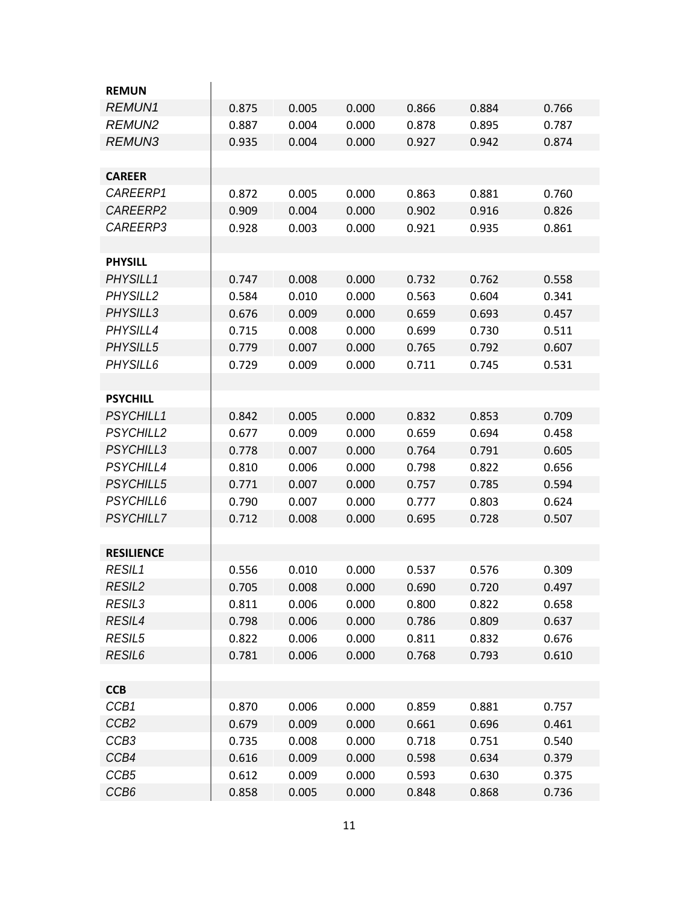| <b>REMUN</b>       |       |       |       |       |       |       |
|--------------------|-------|-------|-------|-------|-------|-------|
| <b>REMUN1</b>      | 0.875 | 0.005 | 0.000 | 0.866 | 0.884 | 0.766 |
| <b>REMUN2</b>      | 0.887 | 0.004 | 0.000 | 0.878 | 0.895 | 0.787 |
| <b>REMUN3</b>      | 0.935 | 0.004 | 0.000 | 0.927 | 0.942 | 0.874 |
|                    |       |       |       |       |       |       |
| <b>CAREER</b>      |       |       |       |       |       |       |
| CAREERP1           | 0.872 | 0.005 | 0.000 | 0.863 | 0.881 | 0.760 |
| CAREERP2           | 0.909 | 0.004 | 0.000 | 0.902 | 0.916 | 0.826 |
| CAREERP3           | 0.928 | 0.003 | 0.000 | 0.921 | 0.935 | 0.861 |
|                    |       |       |       |       |       |       |
| <b>PHYSILL</b>     |       |       |       |       |       |       |
| PHYSILL1           | 0.747 | 0.008 | 0.000 | 0.732 | 0.762 | 0.558 |
| PHYSILL2           | 0.584 | 0.010 | 0.000 | 0.563 | 0.604 | 0.341 |
| PHYSILL3           | 0.676 | 0.009 | 0.000 | 0.659 | 0.693 | 0.457 |
| PHYSILL4           | 0.715 | 0.008 | 0.000 | 0.699 | 0.730 | 0.511 |
| PHYSILL5           | 0.779 | 0.007 | 0.000 | 0.765 | 0.792 | 0.607 |
| PHYSILL6           | 0.729 | 0.009 | 0.000 | 0.711 | 0.745 | 0.531 |
|                    |       |       |       |       |       |       |
| <b>PSYCHILL</b>    |       |       |       |       |       |       |
| PSYCHILL1          | 0.842 | 0.005 | 0.000 | 0.832 | 0.853 | 0.709 |
| <b>PSYCHILL2</b>   | 0.677 | 0.009 | 0.000 | 0.659 | 0.694 | 0.458 |
| <b>PSYCHILL3</b>   | 0.778 | 0.007 | 0.000 | 0.764 | 0.791 | 0.605 |
| PSYCHILL4          | 0.810 | 0.006 | 0.000 | 0.798 | 0.822 | 0.656 |
| <b>PSYCHILL5</b>   | 0.771 | 0.007 | 0.000 | 0.757 | 0.785 | 0.594 |
| PSYCHILL6          | 0.790 | 0.007 | 0.000 | 0.777 | 0.803 | 0.624 |
| <b>PSYCHILL7</b>   | 0.712 | 0.008 | 0.000 | 0.695 | 0.728 | 0.507 |
|                    |       |       |       |       |       |       |
| <b>RESILIENCE</b>  |       |       |       |       |       |       |
| RESIL1             | 0.556 | 0.010 | 0.000 | 0.537 | 0.576 | 0.309 |
| RESIL <sub>2</sub> | 0.705 | 0.008 | 0.000 | 0.690 | 0.720 | 0.497 |
| <b>RESIL3</b>      | 0.811 | 0.006 | 0.000 | 0.800 | 0.822 | 0.658 |
| RESIL4             | 0.798 | 0.006 | 0.000 | 0.786 | 0.809 | 0.637 |
| <b>RESIL5</b>      | 0.822 | 0.006 | 0.000 | 0.811 | 0.832 | 0.676 |
| RESIL <sub>6</sub> | 0.781 | 0.006 | 0.000 | 0.768 | 0.793 | 0.610 |
|                    |       |       |       |       |       |       |
| <b>CCB</b>         |       |       |       |       |       |       |
| CCB1               | 0.870 | 0.006 | 0.000 | 0.859 | 0.881 | 0.757 |
| CCB <sub>2</sub>   | 0.679 | 0.009 | 0.000 | 0.661 | 0.696 | 0.461 |
| CCB <sub>3</sub>   | 0.735 | 0.008 | 0.000 | 0.718 | 0.751 | 0.540 |
| CCB4               | 0.616 | 0.009 | 0.000 | 0.598 | 0.634 | 0.379 |
| CCB <sub>5</sub>   | 0.612 | 0.009 | 0.000 | 0.593 | 0.630 | 0.375 |
| CCB <sub>6</sub>   | 0.858 | 0.005 | 0.000 | 0.848 | 0.868 | 0.736 |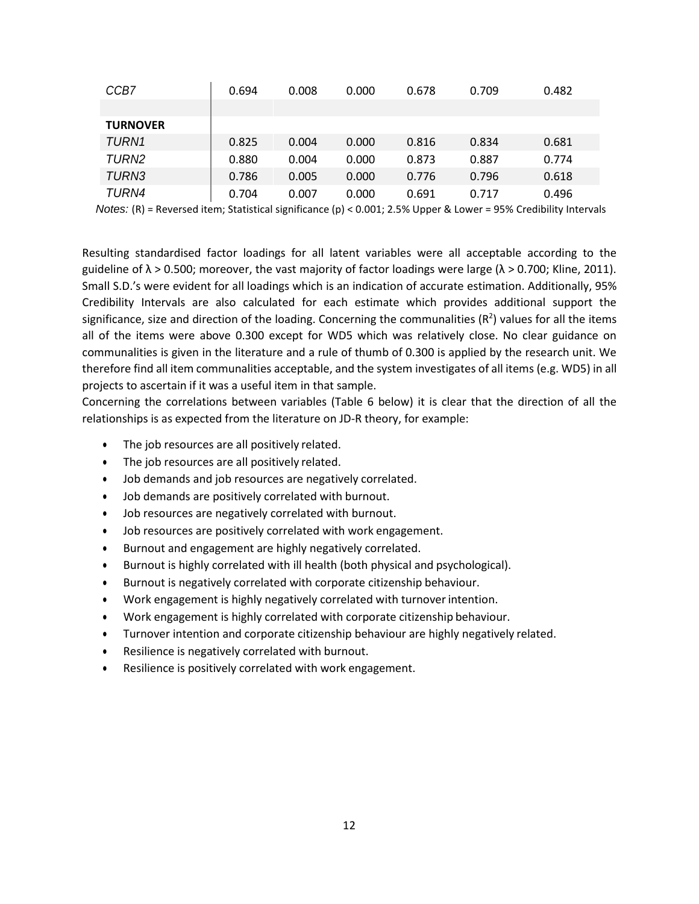| CCB7            | 0.694         | 0.008 | 0.000 | 0.678 | 0.709 | 0.482    |
|-----------------|---------------|-------|-------|-------|-------|----------|
|                 |               |       |       |       |       |          |
| <b>TURNOVER</b> |               |       |       |       |       |          |
| TURN1           | 0.825         | 0.004 | 0.000 | 0.816 | 0.834 | 0.681    |
| TURN2           | 0.880         | 0.004 | 0.000 | 0.873 | 0.887 | 0.774    |
| TURN3           | 0.786         | 0.005 | 0.000 | 0.776 | 0.796 | 0.618    |
| TURN4           | 0.704         | 0.007 | 0.000 | 0.691 | 0.717 | 0.496    |
|                 | _ _ _ _ _ _ _ |       | .     |       |       | $\cdots$ |

*Notes:* (R) = Reversed item; Statistical significance (p) < 0.001; 2.5% Upper & Lower = 95% Credibility Intervals

Resulting standardised factor loadings for all latent variables were all acceptable according to the guideline of  $\lambda > 0.500$ ; moreover, the vast majority of factor loadings were large ( $\lambda > 0.700$ ; Kline, 2011). Small S.D.'s were evident for all loadings which is an indication of accurate estimation. Additionally, 95% Credibility Intervals are also calculated for each estimate which provides additional support the significance, size and direction of the loading. Concerning the communalities ( $R^2$ ) values for all the items all of the items were above 0.300 except for WD5 which was relatively close. No clear guidance on communalities is given in the literature and a rule of thumb of 0.300 is applied by the research unit. We therefore find all item communalities acceptable, and the system investigates of all items (e.g. WD5) in all projects to ascertain if it was a useful item in that sample.

Concerning the correlations between variables (Table 6 below) it is clear that the direction of all the relationships is as expected from the literature on JD-R theory, for example:

- The job resources are all positively related.
- The job resources are all positively related.
- Job demands and job resources are negatively correlated.
- Job demands are positively correlated with burnout.
- Job resources are negatively correlated with burnout.
- Job resources are positively correlated with work engagement.
- Burnout and engagement are highly negatively correlated.
- Burnout is highly correlated with ill health (both physical and psychological).
- Burnout is negatively correlated with corporate citizenship behaviour.
- Work engagement is highly negatively correlated with turnoverintention.
- Work engagement is highly correlated with corporate citizenship behaviour.
- Turnover intention and corporate citizenship behaviour are highly negatively related.
- Resilience is negatively correlated with burnout.
- Resilience is positively correlated with work engagement.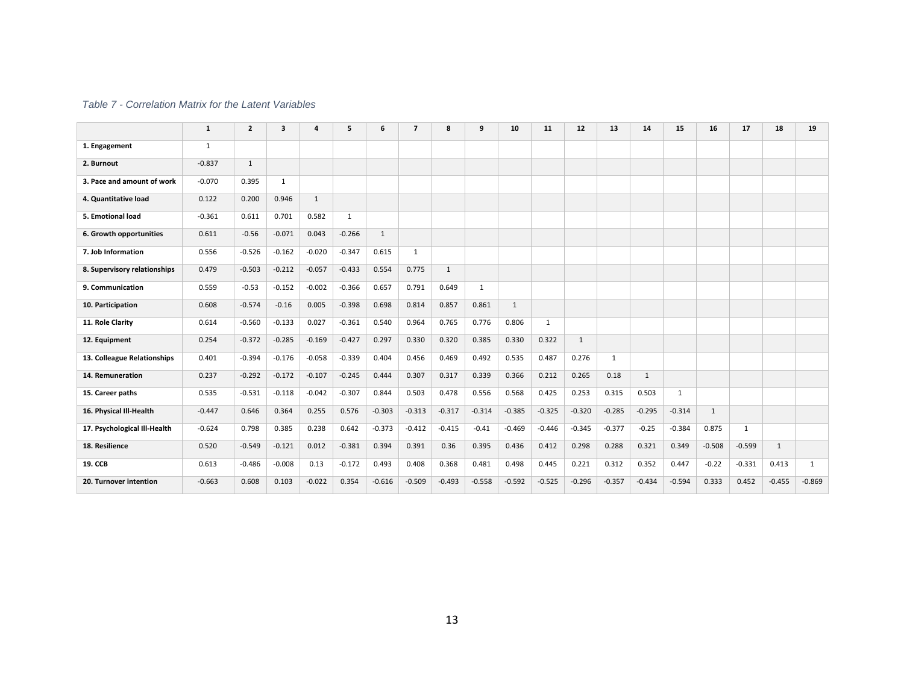#### *Table 7 - Correlation Matrix for the Latent Variables*

|                              | $\mathbf{1}$ | $\overline{2}$ | 3            |              | 5            | 6        | $\overline{7}$ | 8            | 9        | 10           | 11       | 12       | 13           | 14           | 15           | 16           | 17           | 18           | 19           |
|------------------------------|--------------|----------------|--------------|--------------|--------------|----------|----------------|--------------|----------|--------------|----------|----------|--------------|--------------|--------------|--------------|--------------|--------------|--------------|
| 1. Engagement                | $\mathbf{1}$ |                |              |              |              |          |                |              |          |              |          |          |              |              |              |              |              |              |              |
| 2. Burnout                   | $-0.837$     | 1              |              |              |              |          |                |              |          |              |          |          |              |              |              |              |              |              |              |
| 3. Pace and amount of work   | $-0.070$     | 0.395          | $\mathbf{1}$ |              |              |          |                |              |          |              |          |          |              |              |              |              |              |              |              |
| 4. Quantitative load         | 0.122        | 0.200          | 0.946        | $\mathbf{1}$ |              |          |                |              |          |              |          |          |              |              |              |              |              |              |              |
| 5. Emotional load            | $-0.361$     | 0.611          | 0.701        | 0.582        | $\mathbf{1}$ |          |                |              |          |              |          |          |              |              |              |              |              |              |              |
| 6. Growth opportunities      | 0.611        | $-0.56$        | $-0.071$     | 0.043        | $-0.266$     | 1        |                |              |          |              |          |          |              |              |              |              |              |              |              |
| 7. Job Information           | 0.556        | $-0.526$       | $-0.162$     | $-0.020$     | $-0.347$     | 0.615    | 1              |              |          |              |          |          |              |              |              |              |              |              |              |
| 8. Supervisory relationships | 0.479        | $-0.503$       | $-0.212$     | $-0.057$     | $-0.433$     | 0.554    | 0.775          | $\mathbf{1}$ |          |              |          |          |              |              |              |              |              |              |              |
| 9. Communication             | 0.559        | $-0.53$        | $-0.152$     | $-0.002$     | $-0.366$     | 0.657    | 0.791          | 0.649        | 1        |              |          |          |              |              |              |              |              |              |              |
| 10. Participation            | 0.608        | $-0.574$       | $-0.16$      | 0.005        | $-0.398$     | 0.698    | 0.814          | 0.857        | 0.861    | $\mathbf{1}$ |          |          |              |              |              |              |              |              |              |
| 11. Role Clarity             | 0.614        | $-0.560$       | $-0.133$     | 0.027        | $-0.361$     | 0.540    | 0.964          | 0.765        | 0.776    | 0.806        | 1        |          |              |              |              |              |              |              |              |
| 12. Equipment                | 0.254        | $-0.372$       | $-0.285$     | $-0.169$     | $-0.427$     | 0.297    | 0.330          | 0.320        | 0.385    | 0.330        | 0.322    | 1        |              |              |              |              |              |              |              |
| 13. Colleague Relationships  | 0.401        | $-0.394$       | $-0.176$     | $-0.058$     | $-0.339$     | 0.404    | 0.456          | 0.469        | 0.492    | 0.535        | 0.487    | 0.276    | $\mathbf{1}$ |              |              |              |              |              |              |
| 14. Remuneration             | 0.237        | $-0.292$       | $-0.172$     | $-0.107$     | $-0.245$     | 0.444    | 0.307          | 0.317        | 0.339    | 0.366        | 0.212    | 0.265    | 0.18         | $\mathbf{1}$ |              |              |              |              |              |
| 15. Career paths             | 0.535        | $-0.531$       | $-0.118$     | $-0.042$     | $-0.307$     | 0.844    | 0.503          | 0.478        | 0.556    | 0.568        | 0.425    | 0.253    | 0.315        | 0.503        | $\mathbf{1}$ |              |              |              |              |
| 16. Physical III-Health      | $-0.447$     | 0.646          | 0.364        | 0.255        | 0.576        | $-0.303$ | $-0.313$       | $-0.317$     | $-0.314$ | $-0.385$     | $-0.325$ | $-0.320$ | $-0.285$     | $-0.295$     | $-0.314$     | $\mathbf{1}$ |              |              |              |
| 17. Psychological Ill-Health | $-0.624$     | 0.798          | 0.385        | 0.238        | 0.642        | $-0.373$ | $-0.412$       | $-0.415$     | $-0.41$  | $-0.469$     | $-0.446$ | $-0.345$ | $-0.377$     | $-0.25$      | $-0.384$     | 0.875        | $\mathbf{1}$ |              |              |
| 18. Resilience               | 0.520        | $-0.549$       | $-0.121$     | 0.012        | $-0.381$     | 0.394    | 0.391          | 0.36         | 0.395    | 0.436        | 0.412    | 0.298    | 0.288        | 0.321        | 0.349        | $-0.508$     | $-0.599$     | $\mathbf{1}$ |              |
| <b>19. CCB</b>               | 0.613        | $-0.486$       | $-0.008$     | 0.13         | $-0.172$     | 0.493    | 0.408          | 0.368        | 0.481    | 0.498        | 0.445    | 0.221    | 0.312        | 0.352        | 0.447        | $-0.22$      | $-0.331$     | 0.413        | $\mathbf{1}$ |
| 20. Turnover intention       | $-0.663$     | 0.608          | 0.103        | $-0.022$     | 0.354        | $-0.616$ | $-0.509$       | $-0.493$     | $-0.558$ | $-0.592$     | $-0.525$ | $-0.296$ | $-0.357$     | $-0.434$     | $-0.594$     | 0.333        | 0.452        | $-0.455$     | $-0.869$     |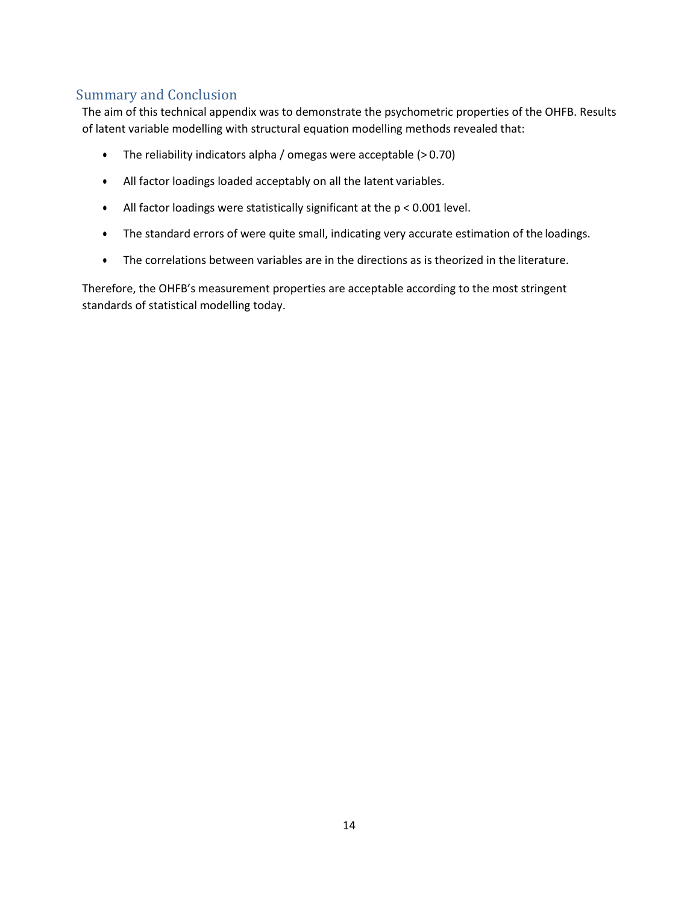# <span id="page-13-0"></span>Summary and Conclusion

The aim of this technical appendix was to demonstrate the psychometric properties of the OHFB. Results of latent variable modelling with structural equation modelling methods revealed that:

- The reliability indicators alpha / omegas were acceptable (> 0.70)
- All factor loadings loaded acceptably on all the latent variables.
- All factor loadings were statistically significant at the  $p < 0.001$  level.
- The standard errors of were quite small, indicating very accurate estimation of the loadings.
- The correlations between variables are in the directions as is theorized in the literature.

Therefore, the OHFB's measurement properties are acceptable according to the most stringent standards of statistical modelling today.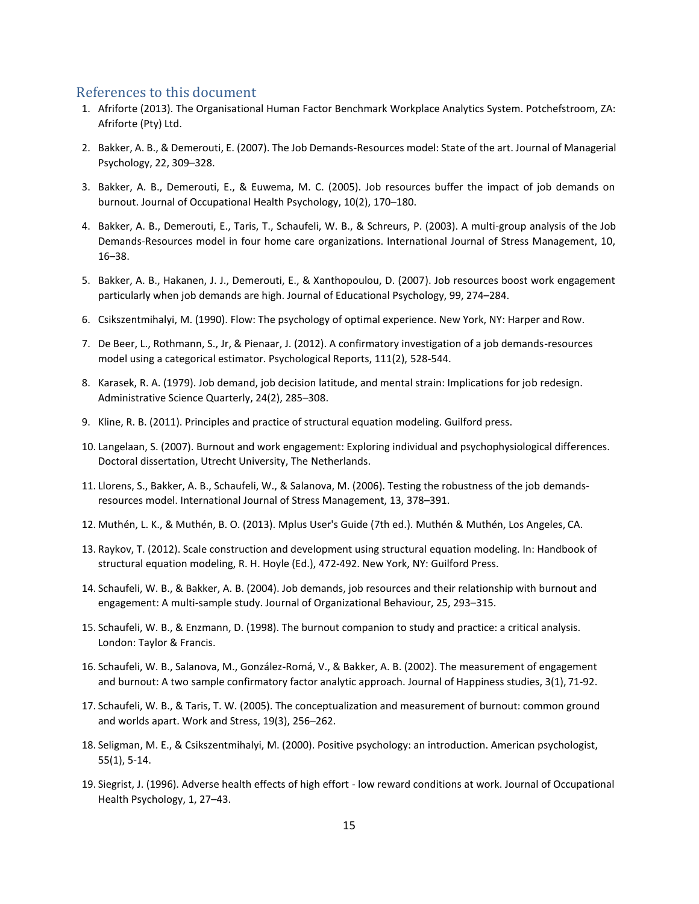#### <span id="page-14-0"></span>References to this document

- 1. Afriforte (2013). The Organisational Human Factor Benchmark Workplace Analytics System. Potchefstroom, ZA: Afriforte (Pty) Ltd.
- 2. Bakker, A. B., & Demerouti, E. (2007). The Job Demands-Resources model: State of the art. Journal of Managerial Psychology, 22, 309–328.
- 3. Bakker, A. B., Demerouti, E., & Euwema, M. C. (2005). Job resources buffer the impact of job demands on burnout. Journal of Occupational Health Psychology, 10(2), 170–180.
- 4. Bakker, A. B., Demerouti, E., Taris, T., Schaufeli, W. B., & Schreurs, P. (2003). A multi-group analysis of the Job Demands-Resources model in four home care organizations. International Journal of Stress Management, 10, 16–38.
- 5. Bakker, A. B., Hakanen, J. J., Demerouti, E., & Xanthopoulou, D. (2007). Job resources boost work engagement particularly when job demands are high. Journal of Educational Psychology, 99, 274–284.
- 6. Csikszentmihalyi, M. (1990). Flow: The psychology of optimal experience. New York, NY: Harper and Row.
- 7. De Beer, L., Rothmann, S., Jr, & Pienaar, J. (2012). A confirmatory investigation of a job demands-resources model using a categorical estimator. Psychological Reports, 111(2), 528-544.
- 8. Karasek, R. A. (1979). Job demand, job decision latitude, and mental strain: Implications for job redesign. Administrative Science Quarterly, 24(2), 285–308.
- 9. Kline, R. B. (2011). Principles and practice of structural equation modeling. Guilford press.
- 10. Langelaan, S. (2007). Burnout and work engagement: Exploring individual and psychophysiological differences. Doctoral dissertation, Utrecht University, The Netherlands.
- 11. Llorens, S., Bakker, A. B., Schaufeli, W., & Salanova, M. (2006). Testing the robustness of the job demandsresources model. International Journal of Stress Management, 13, 378–391.
- 12. Muthén, L. K., & Muthén, B. O. (2013). Mplus User's Guide (7th ed.). Muthén & Muthén, Los Angeles, CA.
- 13. Raykov, T. (2012). Scale construction and development using structural equation modeling. In: Handbook of structural equation modeling, R. H. Hoyle (Ed.), 472-492. New York, NY: Guilford Press.
- 14. Schaufeli, W. B., & Bakker, A. B. (2004). Job demands, job resources and their relationship with burnout and engagement: A multi-sample study. Journal of Organizational Behaviour, 25, 293–315.
- 15. Schaufeli, W. B., & Enzmann, D. (1998). The burnout companion to study and practice: a critical analysis. London: Taylor & Francis.
- 16. Schaufeli, W. B., Salanova, M., González-Romá, V., & Bakker, A. B. (2002). The measurement of engagement and burnout: A two sample confirmatory factor analytic approach. Journal of Happiness studies, 3(1), 71-92.
- 17. Schaufeli, W. B., & Taris, T. W. (2005). The conceptualization and measurement of burnout: common ground and worlds apart. Work and Stress, 19(3), 256–262.
- 18. Seligman, M. E., & Csikszentmihalyi, M. (2000). Positive psychology: an introduction. American psychologist, 55(1), 5-14.
- 19. Siegrist, J. (1996). Adverse health effects of high effort low reward conditions at work. Journal of Occupational Health Psychology, 1, 27–43.